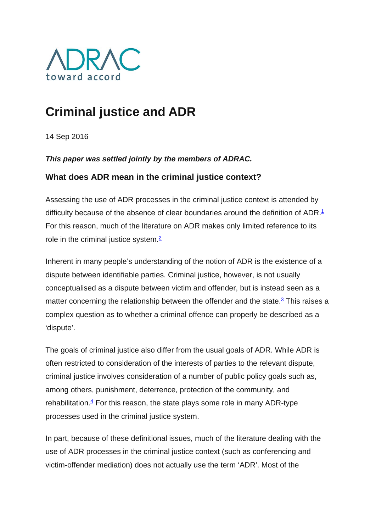

# **Criminal justice and ADR**

14 Sep 2016

*This paper was settled jointly by the members of ADRAC.*

# **What does ADR mean in the criminal justice context?**

Assessing the use of ADR processes in the criminal justice context is attended by difficulty because of the absence of clear boundaries around the definition of ADR.<sup>1</sup> For this reason, much of the literature on ADR makes only limited reference to its role in the criminal justice system. $\frac{2}{3}$ 

Inherent in many people's understanding of the notion of ADR is the existence of a dispute between identifiable parties. Criminal justice, however, is not usually conceptualised as a dispute between victim and offender, but is instead seen as a matter concerning the relationship between the offender and the state.<sup>3</sup> This raises a complex question as to whether a criminal offence can properly be described as a 'dispute'.

The goals of criminal justice also differ from the usual goals of ADR. While ADR is often restricted to consideration of the interests of parties to the relevant dispute, criminal justice involves consideration of a number of public policy goals such as, among others, punishment, deterrence, protection of the community, and rehabilitation. $4$  For this reason, the state plays some role in many ADR-type processes used in the criminal justice system.

In part, because of these definitional issues, much of the literature dealing with the use of ADR processes in the criminal justice context (such as conferencing and victim-offender mediation) does not actually use the term 'ADR'. Most of the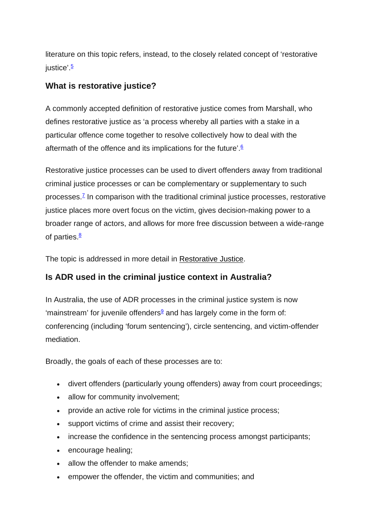literature on this topic refers, instead, to the closely related concept of 'restorative iustice'.<sup>5</sup>

## **What is restorative justice?**

A commonly accepted definition of restorative justice comes from Marshall, who defines restorative justice as 'a process whereby all parties with a stake in a particular offence come together to resolve collectively how to deal with the aftermath of the offence and its implications for the future'. $6$ 

Restorative justice processes can be used to divert offenders away from traditional criminal justice processes or can be complementary or supplementary to such processes. $\frac{7}{1}$  In comparison with the traditional criminal justice processes, restorative justice places more overt focus on the victim, gives decision-making power to a broader range of actors, and allows for more free discussion between a wide-range of parties. $8$ 

The topic is addressed in more detail in Restorative Justice.

## **Is ADR used in the criminal justice context in Australia?**

In Australia, the use of ADR processes in the criminal justice system is now 'mainstream' for juvenile offenders<sup>9</sup> and has largely come in the form of: conferencing (including 'forum sentencing'), circle sentencing, and victim-offender mediation.

Broadly, the goals of each of these processes are to:

- divert offenders (particularly young offenders) away from court proceedings;
- allow for community involvement;
- provide an active role for victims in the criminal justice process;
- support victims of crime and assist their recovery;
- increase the confidence in the sentencing process amongst participants;
- encourage healing;
- allow the offender to make amends;
- empower the offender, the victim and communities; and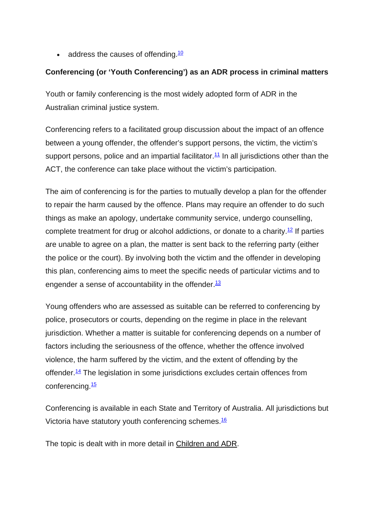$\bullet$  address the causes of offending.<sup>10</sup>

### **Conferencing (or 'Youth Conferencing') as an ADR process in criminal matters**

Youth or family conferencing is the most widely adopted form of ADR in the Australian criminal justice system.

Conferencing refers to a facilitated group discussion about the impact of an offence between a young offender, the offender's support persons, the victim, the victim's support persons, police and an impartial facilitator.<sup>11</sup> In all jurisdictions other than the ACT, the conference can take place without the victim's participation.

The aim of conferencing is for the parties to mutually develop a plan for the offender to repair the harm caused by the offence. Plans may require an offender to do such things as make an apology, undertake community service, undergo counselling, complete treatment for drug or alcohol addictions, or donate to a charity.<sup>12</sup> If parties are unable to agree on a plan, the matter is sent back to the referring party (either the police or the court). By involving both the victim and the offender in developing this plan, conferencing aims to meet the specific needs of particular victims and to engender a sense of accountability in the offender. $13$ 

Young offenders who are assessed as suitable can be referred to conferencing by police, prosecutors or courts, depending on the regime in place in the relevant jurisdiction. Whether a matter is suitable for conferencing depends on a number of factors including the seriousness of the offence, whether the offence involved violence, the harm suffered by the victim, and the extent of offending by the offender.<sup>14</sup> The legislation in some jurisdictions excludes certain offences from conferencing.<sup>15</sup>

Conferencing is available in each State and Territory of Australia. All jurisdictions but Victoria have statutory youth conferencing schemes.<sup>16</sup>

The topic is dealt with in more detail in Children and ADR.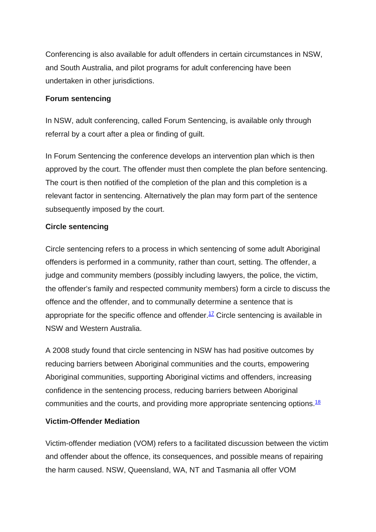Conferencing is also available for adult offenders in certain circumstances in NSW, and South Australia, and pilot programs for adult conferencing have been undertaken in other jurisdictions.

#### **Forum sentencing**

In NSW, adult conferencing, called Forum Sentencing, is available only through referral by a court after a plea or finding of guilt.

In Forum Sentencing the conference develops an intervention plan which is then approved by the court. The offender must then complete the plan before sentencing. The court is then notified of the completion of the plan and this completion is a relevant factor in sentencing. Alternatively the plan may form part of the sentence subsequently imposed by the court.

#### **Circle sentencing**

Circle sentencing refers to a process in which sentencing of some adult Aboriginal offenders is performed in a community, rather than court, setting. The offender, a judge and community members (possibly including lawyers, the police, the victim, the offender's family and respected community members) form a circle to discuss the offence and the offender, and to communally determine a sentence that is appropriate for the specific offence and offender.<sup>17</sup> Circle sentencing is available in NSW and Western Australia.

A 2008 study found that circle sentencing in NSW has had positive outcomes by reducing barriers between Aboriginal communities and the courts, empowering Aboriginal communities, supporting Aboriginal victims and offenders, increasing confidence in the sentencing process, reducing barriers between Aboriginal communities and the courts, and providing more appropriate sentencing options.<sup>18</sup>

#### **Victim-Offender Mediation**

Victim-offender mediation (VOM) refers to a facilitated discussion between the victim and offender about the offence, its consequences, and possible means of repairing the harm caused. NSW, Queensland, WA, NT and Tasmania all offer VOM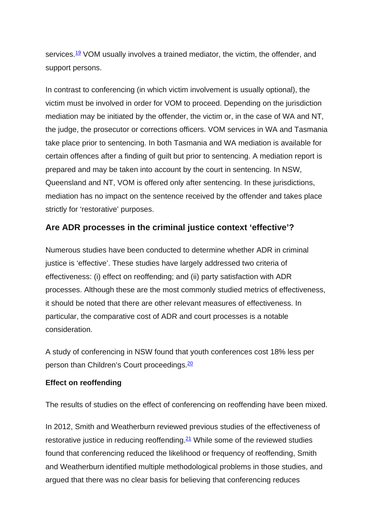services.<sup>19</sup> VOM usually involves a trained mediator, the victim, the offender, and support persons.

In contrast to conferencing (in which victim involvement is usually optional), the victim must be involved in order for VOM to proceed. Depending on the jurisdiction mediation may be initiated by the offender, the victim or, in the case of WA and NT, the judge, the prosecutor or corrections officers. VOM services in WA and Tasmania take place prior to sentencing. In both Tasmania and WA mediation is available for certain offences after a finding of guilt but prior to sentencing. A mediation report is prepared and may be taken into account by the court in sentencing. In NSW, Queensland and NT, VOM is offered only after sentencing. In these jurisdictions, mediation has no impact on the sentence received by the offender and takes place strictly for 'restorative' purposes.

## **Are ADR processes in the criminal justice context 'effective'?**

Numerous studies have been conducted to determine whether ADR in criminal justice is 'effective'. These studies have largely addressed two criteria of effectiveness: (i) effect on reoffending; and (ii) party satisfaction with ADR processes. Although these are the most commonly studied metrics of effectiveness, it should be noted that there are other relevant measures of effectiveness. In particular, the comparative cost of ADR and court processes is a notable consideration.

A study of conferencing in NSW found that youth conferences cost 18% less per person than Children's Court proceedings.<sup>20</sup>

#### **Effect on reoffending**

The results of studies on the effect of conferencing on reoffending have been mixed.

In 2012, Smith and Weatherburn reviewed previous studies of the effectiveness of restorative justice in reducing reoffending. $21$  While some of the reviewed studies found that conferencing reduced the likelihood or frequency of reoffending, Smith and Weatherburn identified multiple methodological problems in those studies, and argued that there was no clear basis for believing that conferencing reduces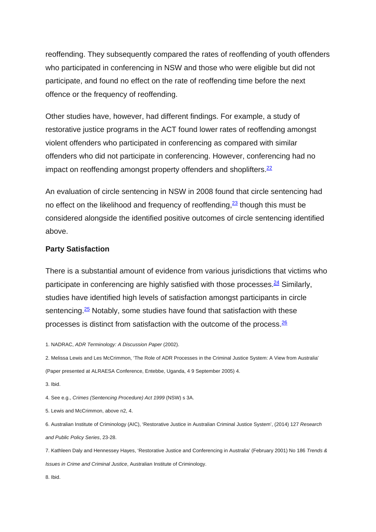reoffending. They subsequently compared the rates of reoffending of youth offenders who participated in conferencing in NSW and those who were eligible but did not participate, and found no effect on the rate of reoffending time before the next offence or the frequency of reoffending.

Other studies have, however, had different findings. For example, a study of restorative justice programs in the ACT found lower rates of reoffending amongst violent offenders who participated in conferencing as compared with similar offenders who did not participate in conferencing. However, conferencing had no impact on reoffending amongst property offenders and shoplifters. $22$ 

An evaluation of circle sentencing in NSW in 2008 found that circle sentencing had no effect on the likelihood and frequency of reoffending,  $\frac{23}{2}$  though this must be considered alongside the identified positive outcomes of circle sentencing identified above.

#### **Party Satisfaction**

There is a substantial amount of evidence from various jurisdictions that victims who participate in conferencing are highly satisfied with those processes. $24$  Similarly, studies have identified high levels of satisfaction amongst participants in circle sentencing. $25$  Notably, some studies have found that satisfaction with these processes is distinct from satisfaction with the outcome of the process[.26](http://www.adrac.org.au/adr-mapping/criminal-justice-and-adr#note26)

1. NADRAC, *ADR Terminology: A Discussion Paper* (2002).

2. Melissa Lewis and Les McCrimmon, 'The Role of ADR Processes in the Criminal Justice System: A View from Australia' (Paper presented at ALRAESA Conference, Entebbe, Uganda, 4 9 September 2005) 4.

3. Ibid.

4. See e.g., *Crimes (Sentencing Procedure) Act 1999* (NSW) s 3A.

5. Lewis and McCrimmon, above n2, 4.

6. Australian Institute of Criminology (AIC), 'Restorative Justice in Australian Criminal Justice System', (2014) 127 *Research and Public Policy Series*, 23-28.

7. Kathleen Daly and Hennessey Hayes, 'Restorative Justice and Conferencing in Australia' (February 2001) No 186 *Trends & Issues in Crime and Criminal Justice*, Australian Institute of Criminology.

8. Ibid.